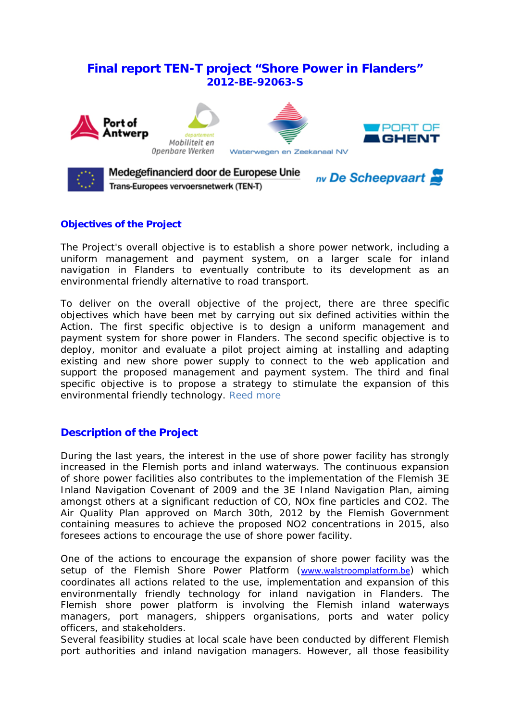# **Final report TEN-T project "Shore Power in Flanders" 2012-BE-92063-S**



Trans-Europees vervoersnetwerk (TEN-T)

### **Objectives of the Project**

The Project's overall objective is to establish a shore power network, including a uniform management and payment system, on a larger scale for inland navigation in Flanders to eventually contribute to its development as an environmental friendly alternative to road transport.

To deliver on the overall objective of the project, there are three specific objectives which have been met by carrying out six defined activities within the Action. The first specific objective is to design a uniform management and payment system for shore power in Flanders. The second specific objective is to deploy, monitor and evaluate a pilot project aiming at installing and adapting existing and new shore power supply to connect to the web application and support the proposed management and payment system. The third and final specific objective is to propose a strategy to stimulate the expansion of this environmental friendly technology. Reed more

## **Description of the Project**

During the last years, the interest in the use of shore power facility has strongly increased in the Flemish ports and inland waterways. The continuous expansion of shore power facilities also contributes to the implementation of the Flemish 3E Inland Navigation Covenant of 2009 and the 3E Inland Navigation Plan, aiming amongst others at a significant reduction of CO, NOx fine particles and CO2. The Air Quality Plan approved on March 30th, 2012 by the Flemish Government containing measures to achieve the proposed NO2 concentrations in 2015, also foresees actions to encourage the use of shore power facility.

One of the actions to encourage the expansion of shore power facility was the setup of the Flemish Shore Power Platform (www.walstroomplatform.be) which coordinates all actions related to the use, implementation and expansion of this environmentally friendly technology for inland navigation in Flanders. The Flemish shore power platform is involving the Flemish inland waterways managers, port managers, shippers organisations, ports and water policy officers, and stakeholders.

Several feasibility studies at local scale have been conducted by different Flemish port authorities and inland navigation managers. However, all those feasibility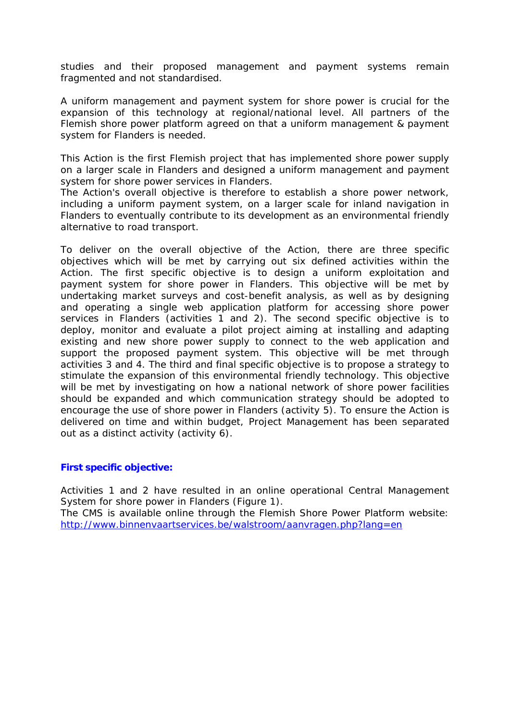studies and their proposed management and payment systems remain fragmented and not standardised.

A uniform management and payment system for shore power is crucial for the expansion of this technology at regional/national level. All partners of the Flemish shore power platform agreed on that a uniform management & payment system for Flanders is needed.

This Action is the first Flemish project that has implemented shore power supply on a larger scale in Flanders and designed a uniform management and payment system for shore power services in Flanders.

The Action's overall objective is therefore to establish a shore power network, including a uniform payment system, on a larger scale for inland navigation in Flanders to eventually contribute to its development as an environmental friendly alternative to road transport.

To deliver on the overall objective of the Action, there are three specific objectives which will be met by carrying out six defined activities within the Action. The first specific objective is to design a uniform exploitation and payment system for shore power in Flanders. This objective will be met by undertaking market surveys and cost-benefit analysis, as well as by designing and operating a single web application platform for accessing shore power services in Flanders (activities 1 and 2). The second specific objective is to deploy, monitor and evaluate a pilot project aiming at installing and adapting existing and new shore power supply to connect to the web application and support the proposed payment system. This objective will be met through activities 3 and 4. The third and final specific objective is to propose a strategy to stimulate the expansion of this environmental friendly technology. This objective will be met by investigating on how a national network of shore power facilities should be expanded and which communication strategy should be adopted to encourage the use of shore power in Flanders (activity 5). To ensure the Action is delivered on time and within budget, Project Management has been separated out as a distinct activity (activity 6).

#### *First specific objective:*

Activities 1 and 2 have resulted in an online operational Central Management System for shore power in Flanders (Figure 1).

The CMS is available online through the Flemish Shore Power Platform website: http://www.binnenvaartservices.be/walstroom/aanvragen.php?lang=en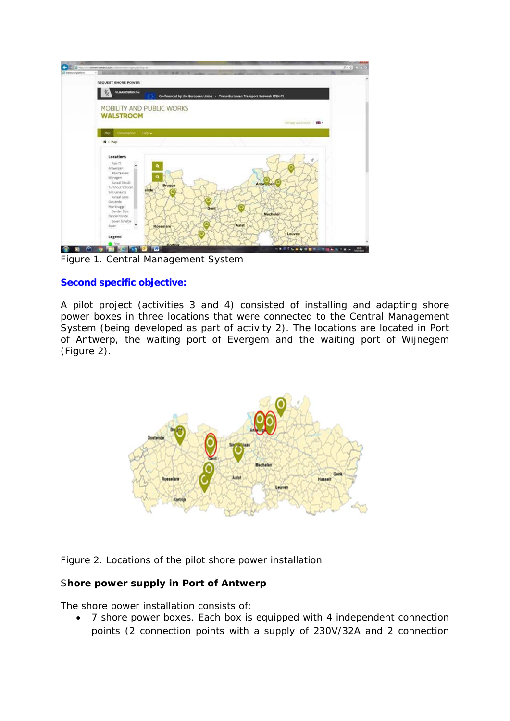

Figure 1. Central Management System

### *Second specific objective:*

A pilot project (activities 3 and 4) consisted of installing and adapting shore power boxes in three locations that were connected to the Central Management System (being developed as part of activity 2). The locations are located in Port of Antwerp, the waiting port of Evergem and the waiting port of Wijnegem (Figure 2).



Figure 2. Locations of the pilot shore power installation

### S**hore power supply in Port of Antwerp**

The shore power installation consists of:

• 7 shore power boxes. Each box is equipped with 4 independent connection points (2 connection points with a supply of 230V/32A and 2 connection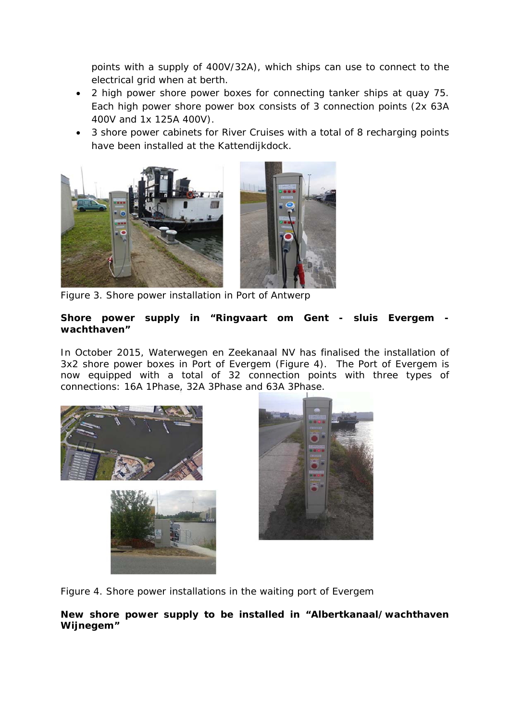points with a supply of 400V/32A), which ships can use to connect to the electrical grid when at berth.

- 2 high power shore power boxes for connecting tanker ships at quay 75. Each high power shore power box consists of 3 connection points (2x 63A 400V and 1x 125A 400V).
- 3 shore power cabinets for River Cruises with a total of 8 recharging points have been installed at the Kattendijkdock.



Figure 3. Shore power installation in Port of Antwerp

#### **Shore power supply in "Ringvaart om Gent - sluis Evergem wachthaven"**

In October 2015, Waterwegen en Zeekanaal NV has finalised the installation of 3x2 shore power boxes in Port of Evergem (Figure 4). The Port of Evergem is now equipped with a total of 32 connection points with three types of connections: 16A 1Phase, 32A 3Phase and 63A 3Phase.





Figure 4. Shore power installations in the waiting port of Evergem

#### **New shore power supply to be installed in "Albertkanaal/wachthaven Wijnegem"**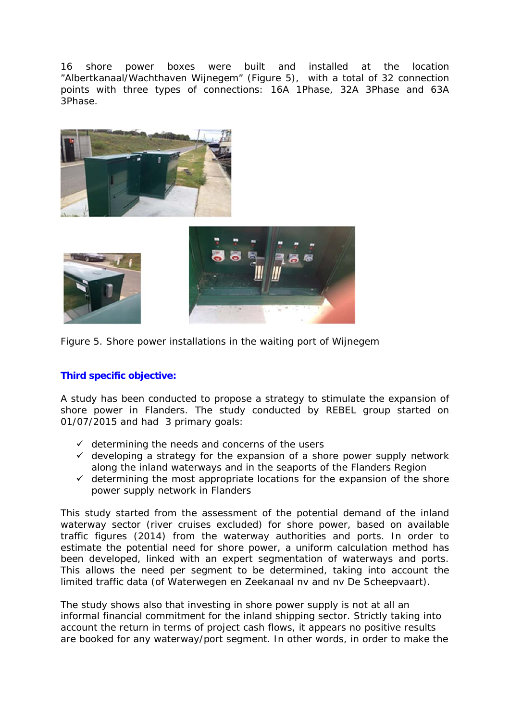16 shore power boxes were built and installed at the location "Albertkanaal/Wachthaven Wijnegem" (Figure 5), with a total of 32 connection points with three types of connections: 16A 1Phase, 32A 3Phase and 63A 3Phase.



Figure 5. Shore power installations in the waiting port of Wijnegem

### *Third specific objective:*

A study has been conducted to propose a strategy to stimulate the expansion of shore power in Flanders. The study conducted by REBEL group started on 01/07/2015 and had 3 primary goals:

- $\checkmark$  determining the needs and concerns of the users
- $\checkmark$  developing a strategy for the expansion of a shore power supply network along the inland waterways and in the seaports of the Flanders Region
- $\checkmark$  determining the most appropriate locations for the expansion of the shore power supply network in Flanders

This study started from the assessment of the potential demand of the inland waterway sector (river cruises excluded) for shore power, based on available traffic figures (2014) from the waterway authorities and ports. In order to estimate the potential need for shore power, a uniform calculation method has been developed, linked with an expert segmentation of waterways and ports. This allows the need per segment to be determined, taking into account the limited traffic data (of Waterwegen en Zeekanaal nv and nv De Scheepvaart).

The study shows also that investing in shore power supply is not at all an informal financial commitment for the inland shipping sector. Strictly taking into account the return in terms of project cash flows, it appears no positive results are booked for any waterway/port segment. In other words, in order to make the